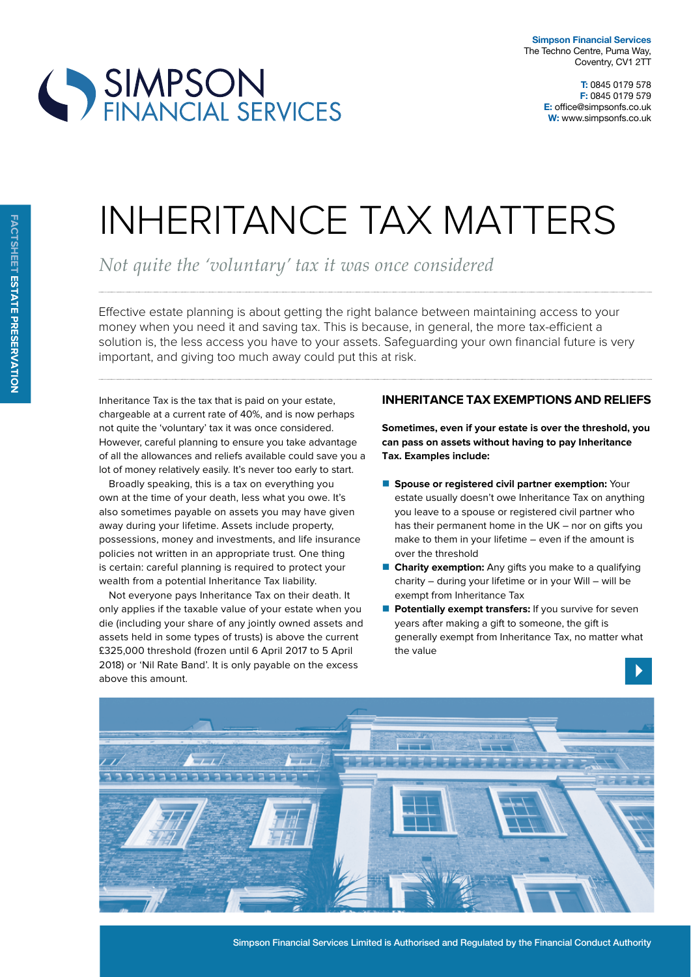

**T:** 0845 0179 578 **F:** 0845 0179 579 **E:** office@simpsonfs.co.uk **W:** www.simpsonfs.co.uk

## INHERITANCE TAX MATTERS

*Not quite the 'voluntary' tax it was once considered*

Efective estate planning is about getting the right balance between maintaining access to your money when you need it and saving tax. This is because, in general, the more tax-efficient a solution is, the less access you have to your assets. Safeguarding your own financial future is very important, and giving too much away could put this at risk.

Inheritance Tax is the tax that is paid on your estate, chargeable at a current rate of 40%, and is now perhaps not quite the 'voluntary' tax it was once considered. However, careful planning to ensure you take advantage of all the allowances and reliefs available could save you a lot of money relatively easily. It's never too early to start.

SIMPSON<br>FINANCIAL SERVICES

Broadly speaking, this is a tax on everything you own at the time of your death, less what you owe. It's also sometimes payable on assets you may have given away during your lifetime. Assets include property, possessions, money and investments, and life insurance policies not written in an appropriate trust. One thing is certain: careful planning is required to protect your wealth from a potential Inheritance Tax liability.

Not everyone pays Inheritance Tax on their death. It only applies if the taxable value of your estate when you die (including your share of any jointly owned assets and assets held in some types of trusts) is above the current £325,000 threshold (frozen until 6 April 2017 to 5 April 2018) or 'Nil Rate Band'. It is only payable on the excess above this amount.

## **inHeritance tax exemptions and relieFs**

**sometimes, even if your estate is over the threshold, you can pass on assets without having to pay inheritance tax. examples include:**

- **E** Spouse or registered civil partner exemption: Your estate usually doesn't owe Inheritance Tax on anything you leave to a spouse or registered civil partner who has their permanent home in the UK – nor on gifts you make to them in your lifetime – even if the amount is over the threshold
- **Charity exemption:** Any gifts you make to a qualifying charity – during your lifetime or in your Will – will be exempt from Inheritance Tax
- **Potentially exempt transfers:** If you survive for seven years after making a gift to someone, the gift is generally exempt from Inheritance Tax, no matter what the value